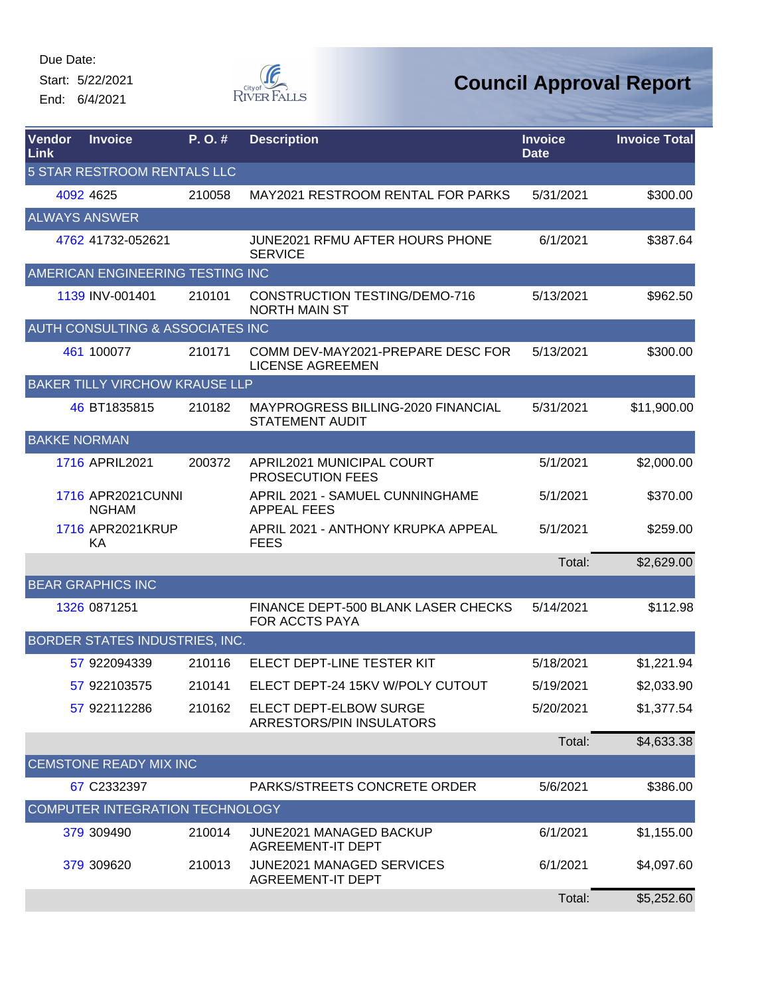Start: 5/22/2021 End: 6/4/2021



| Vendor<br>Link              | <b>Invoice</b>                        | P.O.#  | <b>Description</b>                                           | <b>Invoice</b><br><b>Date</b> | <b>Invoice Total</b> |  |  |  |
|-----------------------------|---------------------------------------|--------|--------------------------------------------------------------|-------------------------------|----------------------|--|--|--|
| 5 STAR RESTROOM RENTALS LLC |                                       |        |                                                              |                               |                      |  |  |  |
|                             | 4092 4625                             | 210058 | MAY2021 RESTROOM RENTAL FOR PARKS                            | 5/31/2021                     | \$300.00             |  |  |  |
|                             | <b>ALWAYS ANSWER</b>                  |        |                                                              |                               |                      |  |  |  |
|                             | 4762 41732-052621                     |        | JUNE2021 RFMU AFTER HOURS PHONE<br><b>SERVICE</b>            | 6/1/2021                      | \$387.64             |  |  |  |
|                             | AMERICAN ENGINEERING TESTING INC      |        |                                                              |                               |                      |  |  |  |
|                             | 1139 INV-001401                       | 210101 | <b>CONSTRUCTION TESTING/DEMO-716</b><br><b>NORTH MAIN ST</b> | 5/13/2021                     | \$962.50             |  |  |  |
|                             | AUTH CONSULTING & ASSOCIATES INC      |        |                                                              |                               |                      |  |  |  |
|                             | 461 100077                            | 210171 | COMM DEV-MAY2021-PREPARE DESC FOR<br><b>LICENSE AGREEMEN</b> | 5/13/2021                     | \$300.00             |  |  |  |
|                             | <b>BAKER TILLY VIRCHOW KRAUSE LLP</b> |        |                                                              |                               |                      |  |  |  |
|                             | 46 BT1835815                          | 210182 | MAYPROGRESS BILLING-2020 FINANCIAL<br><b>STATEMENT AUDIT</b> | 5/31/2021                     | \$11,900.00          |  |  |  |
| <b>BAKKE NORMAN</b>         |                                       |        |                                                              |                               |                      |  |  |  |
|                             | 1716 APRIL2021                        | 200372 | APRIL2021 MUNICIPAL COURT<br>PROSECUTION FEES                | 5/1/2021                      | \$2,000.00           |  |  |  |
|                             | 1716 APR2021CUNNI<br><b>NGHAM</b>     |        | APRIL 2021 - SAMUEL CUNNINGHAME<br><b>APPEAL FEES</b>        | 5/1/2021                      | \$370.00             |  |  |  |
|                             | 1716 APR2021KRUP<br>KA                |        | APRIL 2021 - ANTHONY KRUPKA APPEAL<br><b>FEES</b>            | 5/1/2021                      | \$259.00             |  |  |  |
|                             |                                       |        |                                                              | Total:                        | \$2,629.00           |  |  |  |
|                             | <b>BEAR GRAPHICS INC</b>              |        |                                                              |                               |                      |  |  |  |
|                             | 1326 0871251                          |        | FINANCE DEPT-500 BLANK LASER CHECKS<br>FOR ACCTS PAYA        | 5/14/2021                     | \$112.98             |  |  |  |
|                             | BORDER STATES INDUSTRIES, INC.        |        |                                                              |                               |                      |  |  |  |
|                             | 57 922094339                          | 210116 | ELECT DEPT-LINE TESTER KIT                                   | 5/18/2021                     | \$1,221.94           |  |  |  |
|                             | 57 922103575                          | 210141 | ELECT DEPT-24 15KV W/POLY CUTOUT                             | 5/19/2021                     | \$2,033.90           |  |  |  |
|                             | 57 922112286                          | 210162 | ELECT DEPT-ELBOW SURGE<br>ARRESTORS/PIN INSULATORS           | 5/20/2021                     | \$1,377.54           |  |  |  |
|                             |                                       |        |                                                              | Total:                        | \$4,633.38           |  |  |  |
|                             | <b>CEMSTONE READY MIX INC</b>         |        |                                                              |                               |                      |  |  |  |
|                             | 67 C2332397                           |        | PARKS/STREETS CONCRETE ORDER                                 | 5/6/2021                      | \$386.00             |  |  |  |
|                             | COMPUTER INTEGRATION TECHNOLOGY       |        |                                                              |                               |                      |  |  |  |
|                             | 379 309490                            | 210014 | JUNE2021 MANAGED BACKUP<br><b>AGREEMENT-IT DEPT</b>          | 6/1/2021                      | \$1,155.00           |  |  |  |
|                             | 379 309620                            | 210013 | <b>JUNE2021 MANAGED SERVICES</b><br><b>AGREEMENT-IT DEPT</b> | 6/1/2021                      | \$4,097.60           |  |  |  |
|                             |                                       |        |                                                              | Total:                        | \$5,252.60           |  |  |  |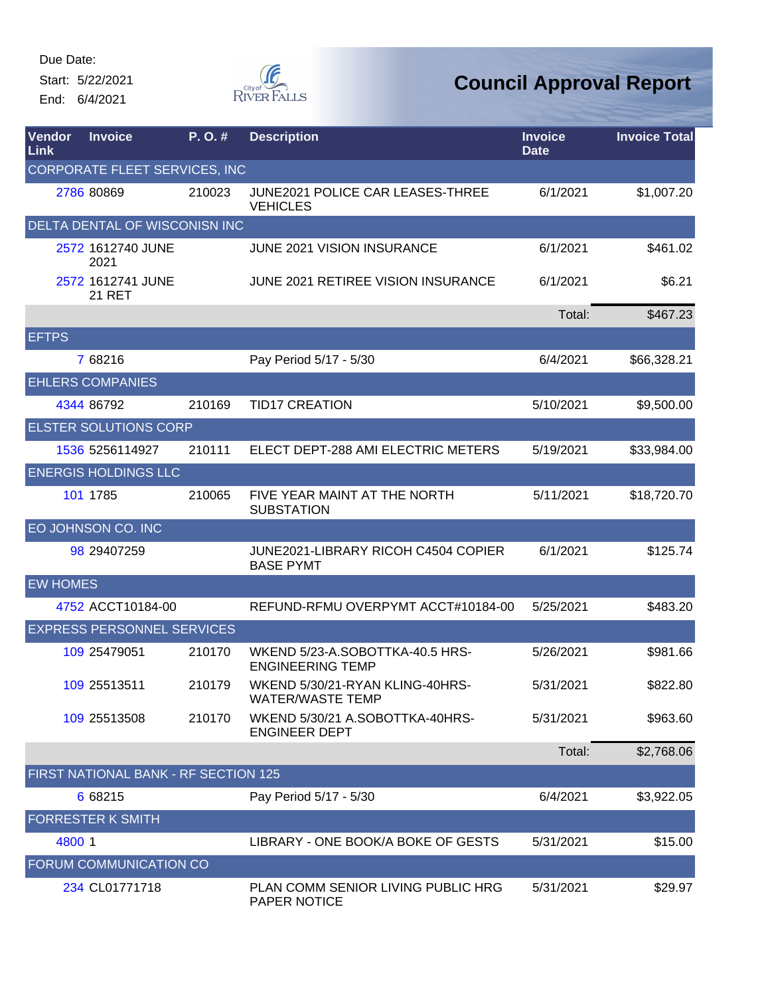Start: 5/22/2021 End: 6/4/2021



| <b>Vendor</b><br><b>Link</b> | <b>Invoice</b>                              | P.O.#  | <b>Description</b>                                         | <b>Invoice</b><br><b>Date</b> | <b>Invoice Total</b> |  |  |  |
|------------------------------|---------------------------------------------|--------|------------------------------------------------------------|-------------------------------|----------------------|--|--|--|
|                              | CORPORATE FLEET SERVICES, INC               |        |                                                            |                               |                      |  |  |  |
|                              | 2786 80869                                  | 210023 | JUNE2021 POLICE CAR LEASES-THREE<br><b>VEHICLES</b>        | 6/1/2021                      | \$1,007.20           |  |  |  |
|                              | DELTA DENTAL OF WISCONISN INC               |        |                                                            |                               |                      |  |  |  |
|                              | 2572 1612740 JUNE<br>2021                   |        | <b>JUNE 2021 VISION INSURANCE</b>                          | 6/1/2021                      | \$461.02             |  |  |  |
|                              | 2572 1612741 JUNE<br><b>21 RET</b>          |        | JUNE 2021 RETIREE VISION INSURANCE                         | 6/1/2021                      | \$6.21               |  |  |  |
|                              |                                             |        |                                                            | Total:                        | \$467.23             |  |  |  |
| <b>EFTPS</b>                 |                                             |        |                                                            |                               |                      |  |  |  |
|                              | 7 68216                                     |        | Pay Period 5/17 - 5/30                                     | 6/4/2021                      | \$66,328.21          |  |  |  |
|                              | <b>EHLERS COMPANIES</b>                     |        |                                                            |                               |                      |  |  |  |
|                              | 4344 86792                                  | 210169 | <b>TID17 CREATION</b>                                      | 5/10/2021                     | \$9,500.00           |  |  |  |
|                              | <b>ELSTER SOLUTIONS CORP</b>                |        |                                                            |                               |                      |  |  |  |
|                              | 1536 5256114927                             | 210111 | ELECT DEPT-288 AMI ELECTRIC METERS                         | 5/19/2021                     | \$33,984.00          |  |  |  |
|                              | <b>ENERGIS HOLDINGS LLC</b>                 |        |                                                            |                               |                      |  |  |  |
|                              | 101 1785                                    | 210065 | FIVE YEAR MAINT AT THE NORTH<br><b>SUBSTATION</b>          | 5/11/2021                     | \$18,720.70          |  |  |  |
|                              | EO JOHNSON CO. INC                          |        |                                                            |                               |                      |  |  |  |
|                              | 98 29407259                                 |        | JUNE2021-LIBRARY RICOH C4504 COPIER<br><b>BASE PYMT</b>    | 6/1/2021                      | \$125.74             |  |  |  |
| <b>EW HOMES</b>              |                                             |        |                                                            |                               |                      |  |  |  |
|                              | 4752 ACCT10184-00                           |        | REFUND-RFMU OVERPYMT ACCT#10184-00                         | 5/25/2021                     | \$483.20             |  |  |  |
|                              | <b>EXPRESS PERSONNEL SERVICES</b>           |        |                                                            |                               |                      |  |  |  |
|                              | 109 25479051                                | 210170 | WKEND 5/23-A.SOBOTTKA-40.5 HRS-<br><b>ENGINEERING TEMP</b> | 5/26/2021                     | \$981.66             |  |  |  |
|                              | 109 25513511                                | 210179 | WKEND 5/30/21-RYAN KLING-40HRS-<br><b>WATER/WASTE TEMP</b> | 5/31/2021                     | \$822.80             |  |  |  |
|                              | 109 25513508                                | 210170 | WKEND 5/30/21 A.SOBOTTKA-40HRS-<br><b>ENGINEER DEPT</b>    | 5/31/2021                     | \$963.60             |  |  |  |
|                              |                                             |        |                                                            | Total:                        | \$2,768.06           |  |  |  |
|                              | <b>FIRST NATIONAL BANK - RF SECTION 125</b> |        |                                                            |                               |                      |  |  |  |
|                              | 6 68215                                     |        | Pay Period 5/17 - 5/30                                     | 6/4/2021                      | \$3,922.05           |  |  |  |
|                              | <b>FORRESTER K SMITH</b>                    |        |                                                            |                               |                      |  |  |  |
| 4800 1                       |                                             |        | LIBRARY - ONE BOOK/A BOKE OF GESTS                         | 5/31/2021                     | \$15.00              |  |  |  |
|                              | FORUM COMMUNICATION CO                      |        |                                                            |                               |                      |  |  |  |
|                              | 234 CL01771718                              |        | PLAN COMM SENIOR LIVING PUBLIC HRG<br>PAPER NOTICE         | 5/31/2021                     | \$29.97              |  |  |  |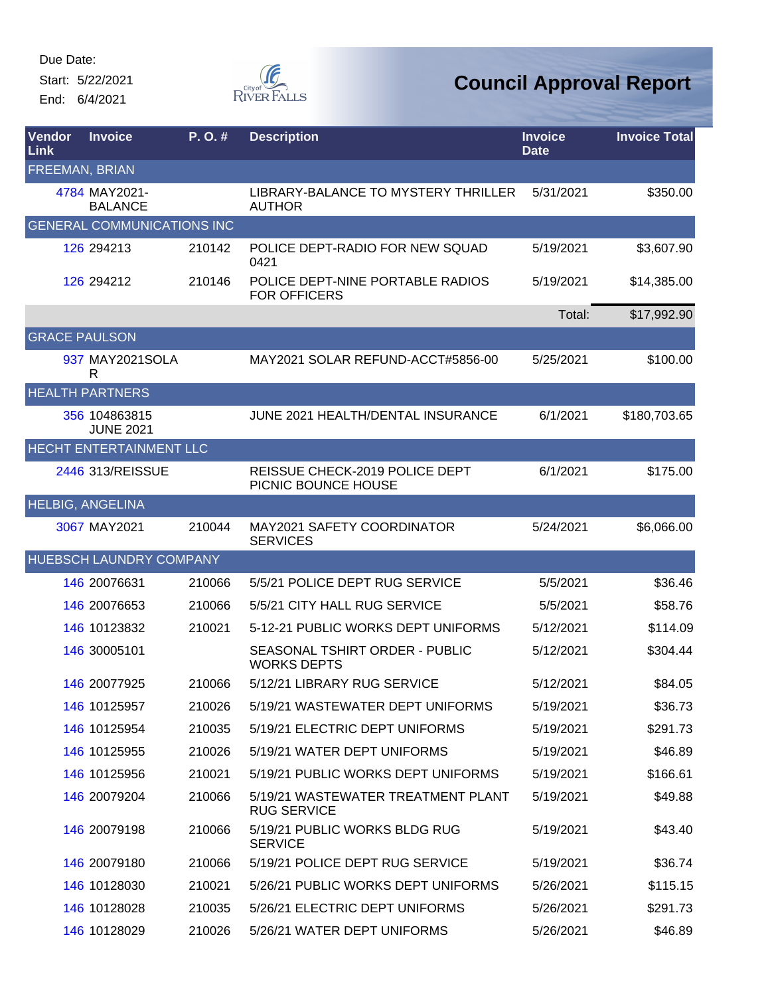Start: 5/22/2021 End: 6/4/2021



| Vendor<br>Link          | <b>Invoice</b>                    | P.O.#  | <b>Description</b>                                       | <b>Invoice</b><br><b>Date</b> | <b>Invoice Total</b> |
|-------------------------|-----------------------------------|--------|----------------------------------------------------------|-------------------------------|----------------------|
| <b>FREEMAN, BRIAN</b>   |                                   |        |                                                          |                               |                      |
|                         | 4784 MAY2021-<br><b>BALANCE</b>   |        | LIBRARY-BALANCE TO MYSTERY THRILLER<br><b>AUTHOR</b>     | 5/31/2021                     | \$350.00             |
|                         | <b>GENERAL COMMUNICATIONS INC</b> |        |                                                          |                               |                      |
|                         | 126 294213                        | 210142 | POLICE DEPT-RADIO FOR NEW SQUAD<br>0421                  | 5/19/2021                     | \$3,607.90           |
|                         | 126 294212                        | 210146 | POLICE DEPT-NINE PORTABLE RADIOS<br><b>FOR OFFICERS</b>  | 5/19/2021                     | \$14,385.00          |
|                         |                                   |        |                                                          | Total:                        | \$17,992.90          |
| <b>GRACE PAULSON</b>    |                                   |        |                                                          |                               |                      |
|                         | 937 MAY2021SOLA<br>R              |        | MAY2021 SOLAR REFUND-ACCT#5856-00                        | 5/25/2021                     | \$100.00             |
|                         | <b>HEALTH PARTNERS</b>            |        |                                                          |                               |                      |
|                         | 356 104863815<br><b>JUNE 2021</b> |        | JUNE 2021 HEALTH/DENTAL INSURANCE                        | 6/1/2021                      | \$180,703.65         |
|                         | HECHT ENTERTAINMENT LLC           |        |                                                          |                               |                      |
|                         | 2446 313/REISSUE                  |        | REISSUE CHECK-2019 POLICE DEPT<br>PICNIC BOUNCE HOUSE    | 6/1/2021                      | \$175.00             |
| <b>HELBIG, ANGELINA</b> |                                   |        |                                                          |                               |                      |
|                         | 3067 MAY2021                      | 210044 | MAY2021 SAFETY COORDINATOR<br><b>SERVICES</b>            | 5/24/2021                     | \$6,066.00           |
|                         | <b>HUEBSCH LAUNDRY COMPANY</b>    |        |                                                          |                               |                      |
|                         | 146 20076631                      | 210066 | 5/5/21 POLICE DEPT RUG SERVICE                           | 5/5/2021                      | \$36.46              |
|                         | 146 20076653                      | 210066 | 5/5/21 CITY HALL RUG SERVICE                             | 5/5/2021                      | \$58.76              |
|                         | 146 10123832                      | 210021 | 5-12-21 PUBLIC WORKS DEPT UNIFORMS                       | 5/12/2021                     | \$114.09             |
|                         | 146 30005101                      |        | SEASONAL TSHIRT ORDER - PUBLIC<br><b>WORKS DEPTS</b>     | 5/12/2021                     | \$304.44             |
|                         | 146 20077925                      | 210066 | 5/12/21 LIBRARY RUG SERVICE                              | 5/12/2021                     | \$84.05              |
|                         | 146 10125957                      | 210026 | 5/19/21 WASTEWATER DEPT UNIFORMS                         | 5/19/2021                     | \$36.73              |
|                         | 146 10125954                      | 210035 | 5/19/21 ELECTRIC DEPT UNIFORMS                           | 5/19/2021                     | \$291.73             |
|                         | 146 10125955                      | 210026 | 5/19/21 WATER DEPT UNIFORMS                              | 5/19/2021                     | \$46.89              |
|                         | 146 10125956                      | 210021 | 5/19/21 PUBLIC WORKS DEPT UNIFORMS                       | 5/19/2021                     | \$166.61             |
|                         | 146 20079204                      | 210066 | 5/19/21 WASTEWATER TREATMENT PLANT<br><b>RUG SERVICE</b> | 5/19/2021                     | \$49.88              |
|                         | 146 20079198                      | 210066 | 5/19/21 PUBLIC WORKS BLDG RUG<br><b>SERVICE</b>          | 5/19/2021                     | \$43.40              |
|                         | 146 20079180                      | 210066 | 5/19/21 POLICE DEPT RUG SERVICE                          | 5/19/2021                     | \$36.74              |
|                         | 146 10128030                      | 210021 | 5/26/21 PUBLIC WORKS DEPT UNIFORMS                       | 5/26/2021                     | \$115.15             |
|                         | 146 10128028                      | 210035 | 5/26/21 ELECTRIC DEPT UNIFORMS                           | 5/26/2021                     | \$291.73             |
|                         | 146 10128029                      | 210026 | 5/26/21 WATER DEPT UNIFORMS                              | 5/26/2021                     | \$46.89              |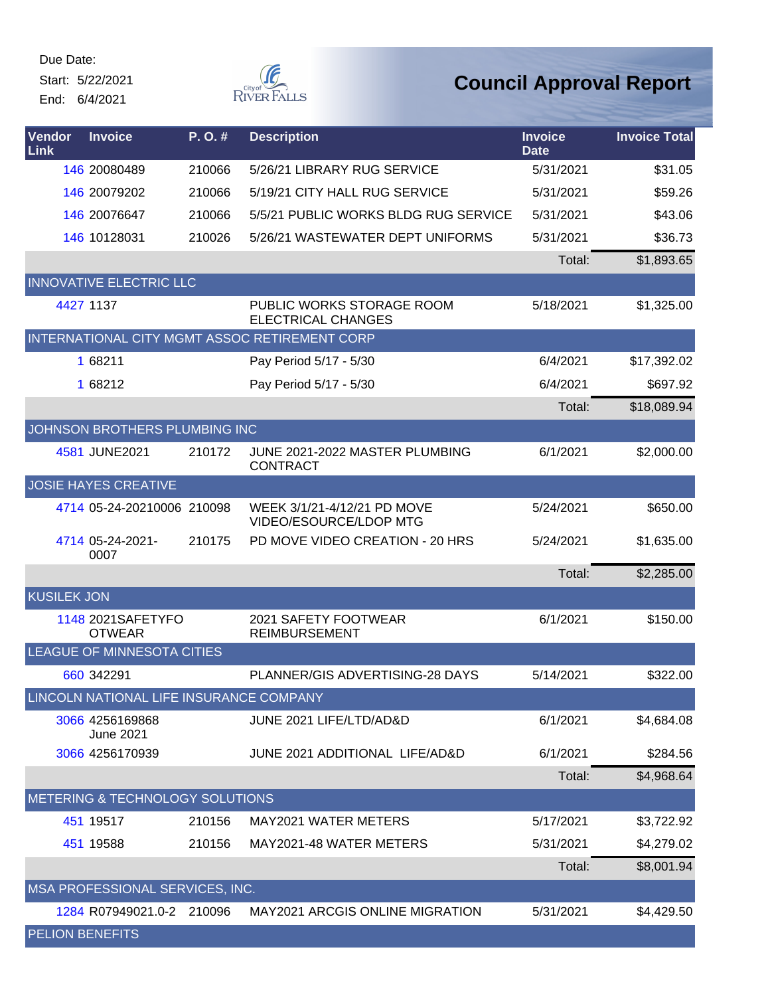Start: 5/22/2021 End: 6/4/2021



| Vendor<br>Link         | <b>Invoice</b>                          | P.O.#  | <b>Description</b>                                     | <b>Invoice</b><br><b>Date</b> | <b>Invoice Total</b> |
|------------------------|-----------------------------------------|--------|--------------------------------------------------------|-------------------------------|----------------------|
|                        | 146 20080489                            | 210066 | 5/26/21 LIBRARY RUG SERVICE                            | 5/31/2021                     | \$31.05              |
|                        | 146 20079202                            | 210066 | 5/19/21 CITY HALL RUG SERVICE                          | 5/31/2021                     | \$59.26              |
|                        | 146 20076647                            | 210066 | 5/5/21 PUBLIC WORKS BLDG RUG SERVICE                   | 5/31/2021                     | \$43.06              |
|                        | 146 10128031                            | 210026 | 5/26/21 WASTEWATER DEPT UNIFORMS                       | 5/31/2021                     | \$36.73              |
|                        |                                         |        |                                                        | Total:                        | \$1,893.65           |
|                        | <b>INNOVATIVE ELECTRIC LLC</b>          |        |                                                        |                               |                      |
|                        | 4427 1137                               |        | PUBLIC WORKS STORAGE ROOM<br><b>ELECTRICAL CHANGES</b> | 5/18/2021                     | \$1,325.00           |
|                        |                                         |        | INTERNATIONAL CITY MGMT ASSOC RETIREMENT CORP          |                               |                      |
|                        | 1 68211                                 |        | Pay Period 5/17 - 5/30                                 | 6/4/2021                      | \$17,392.02          |
|                        | 1 68212                                 |        | Pay Period 5/17 - 5/30                                 | 6/4/2021                      | \$697.92             |
|                        |                                         |        |                                                        | Total:                        | \$18,089.94          |
|                        | JOHNSON BROTHERS PLUMBING INC           |        |                                                        |                               |                      |
|                        | 4581 JUNE2021                           | 210172 | JUNE 2021-2022 MASTER PLUMBING<br><b>CONTRACT</b>      | 6/1/2021                      | \$2,000.00           |
|                        | <b>JOSIE HAYES CREATIVE</b>             |        |                                                        |                               |                      |
|                        | 4714 05-24-20210006 210098              |        | WEEK 3/1/21-4/12/21 PD MOVE<br>VIDEO/ESOURCE/LDOP MTG  | 5/24/2021                     | \$650.00             |
|                        | 4714 05-24-2021-<br>0007                | 210175 | PD MOVE VIDEO CREATION - 20 HRS                        | 5/24/2021                     | \$1,635.00           |
|                        |                                         |        |                                                        | Total:                        | \$2,285.00           |
| <b>KUSILEK JON</b>     |                                         |        |                                                        |                               |                      |
|                        | 1148 2021 SAFETYFO<br><b>OTWEAR</b>     |        | 2021 SAFETY FOOTWEAR<br><b>REIMBURSEMENT</b>           | 6/1/2021                      | \$150.00             |
|                        | <b>LEAGUE OF MINNESOTA CITIES</b>       |        |                                                        |                               |                      |
|                        | 660 342291                              |        | PLANNER/GIS ADVERTISING-28 DAYS                        | 5/14/2021                     | \$322.00             |
|                        | LINCOLN NATIONAL LIFE INSURANCE COMPANY |        |                                                        |                               |                      |
|                        | 3066 4256169868<br><b>June 2021</b>     |        | JUNE 2021 LIFE/LTD/AD&D                                | 6/1/2021                      | \$4,684.08           |
|                        | 3066 4256170939                         |        | JUNE 2021 ADDITIONAL LIFE/AD&D                         | 6/1/2021                      | \$284.56             |
|                        |                                         |        |                                                        | Total:                        | \$4,968.64           |
|                        | METERING & TECHNOLOGY SOLUTIONS         |        |                                                        |                               |                      |
|                        | 451 19517                               | 210156 | MAY2021 WATER METERS                                   | 5/17/2021                     | \$3,722.92           |
|                        | 451 19588                               | 210156 | MAY2021-48 WATER METERS                                | 5/31/2021                     | \$4,279.02           |
|                        |                                         |        |                                                        | Total:                        | \$8,001.94           |
|                        | MSA PROFESSIONAL SERVICES, INC.         |        |                                                        |                               |                      |
|                        | 1284 R07949021.0-2 210096               |        | <b>MAY2021 ARCGIS ONLINE MIGRATION</b>                 | 5/31/2021                     | \$4,429.50           |
| <b>PELION BENEFITS</b> |                                         |        |                                                        |                               |                      |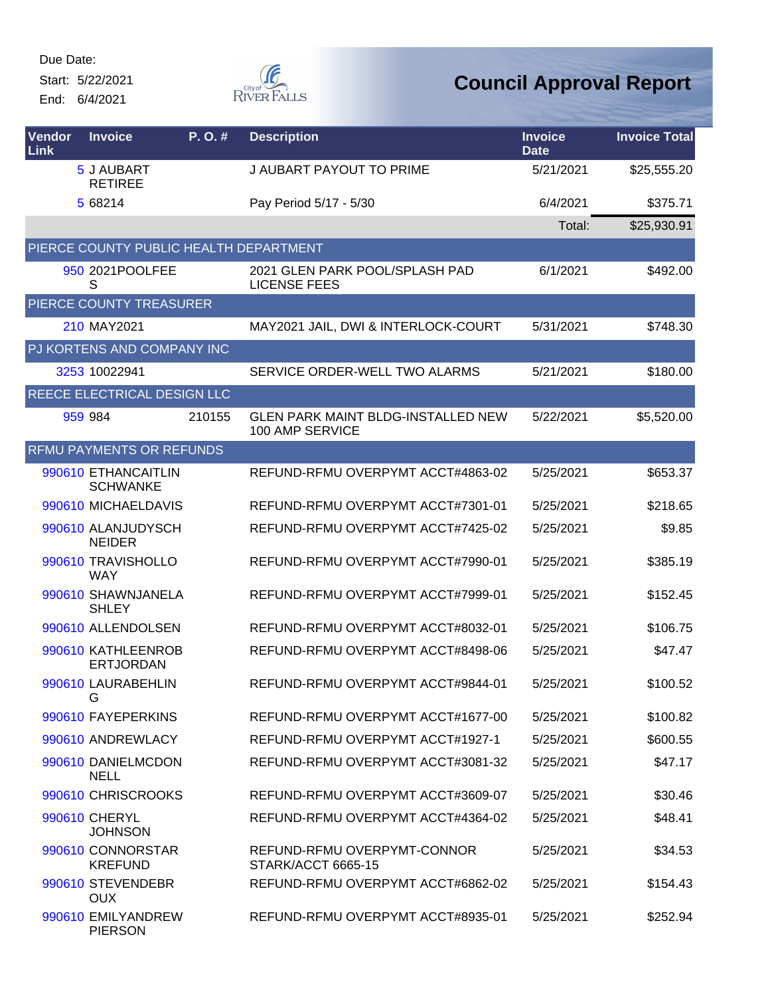Start: 5/22/2021

End: 6/4/2021



| Vendor<br>Link | <b>Invoice</b>                         | P.O.#  | <b>Description</b>                                           | <b>Invoice</b><br><b>Date</b> | <b>Invoice Total</b> |
|----------------|----------------------------------------|--------|--------------------------------------------------------------|-------------------------------|----------------------|
|                | 5 J AUBART<br><b>RETIREE</b>           |        | J AUBART PAYOUT TO PRIME                                     | 5/21/2021                     | \$25,555.20          |
|                | 5 68214                                |        | Pay Period 5/17 - 5/30                                       | 6/4/2021                      | \$375.71             |
|                |                                        |        |                                                              | Total:                        | \$25,930.91          |
|                | PIERCE COUNTY PUBLIC HEALTH DEPARTMENT |        |                                                              |                               |                      |
|                | 950 2021 POOLFEE<br>S                  |        | 2021 GLEN PARK POOL/SPLASH PAD<br><b>LICENSE FEES</b>        | 6/1/2021                      | \$492.00             |
|                | PIERCE COUNTY TREASURER                |        |                                                              |                               |                      |
|                | 210 MAY2021                            |        | MAY2021 JAIL, DWI & INTERLOCK-COURT                          | 5/31/2021                     | \$748.30             |
|                | PJ KORTENS AND COMPANY INC             |        |                                                              |                               |                      |
|                | 3253 10022941                          |        | SERVICE ORDER-WELL TWO ALARMS                                | 5/21/2021                     | \$180.00             |
|                | REECE ELECTRICAL DESIGN LLC            |        |                                                              |                               |                      |
|                | 959 984                                | 210155 | <b>GLEN PARK MAINT BLDG-INSTALLED NEW</b><br>100 AMP SERVICE | 5/22/2021                     | \$5,520.00           |
|                | <b>RFMU PAYMENTS OR REFUNDS</b>        |        |                                                              |                               |                      |
|                | 990610 ETHANCAITLIN<br><b>SCHWANKE</b> |        | REFUND-RFMU OVERPYMT ACCT#4863-02                            | 5/25/2021                     | \$653.37             |
|                | 990610 MICHAELDAVIS                    |        | REFUND-RFMU OVERPYMT ACCT#7301-01                            | 5/25/2021                     | \$218.65             |
|                | 990610 ALANJUDYSCH<br><b>NEIDER</b>    |        | REFUND-RFMU OVERPYMT ACCT#7425-02                            | 5/25/2021                     | \$9.85               |
|                | 990610 TRAVISHOLLO<br><b>WAY</b>       |        | REFUND-RFMU OVERPYMT ACCT#7990-01                            | 5/25/2021                     | \$385.19             |
|                | 990610 SHAWNJANELA<br><b>SHLEY</b>     |        | REFUND-RFMU OVERPYMT ACCT#7999-01                            | 5/25/2021                     | \$152.45             |
|                | 990610 ALLENDOLSEN                     |        | REFUND-RFMU OVERPYMT ACCT#8032-01                            | 5/25/2021                     | \$106.75             |
|                | 990610 KATHLEENROB<br><b>ERTJORDAN</b> |        | REFUND-RFMU OVERPYMT ACCT#8498-06                            | 5/25/2021                     | \$47.47              |
|                | 990610 LAURABEHLIN<br>G                |        | REFUND-RFMU OVERPYMT ACCT#9844-01                            | 5/25/2021                     | \$100.52             |
|                | 990610 FAYEPERKINS                     |        | REFUND-RFMU OVERPYMT ACCT#1677-00                            | 5/25/2021                     | \$100.82             |
|                | 990610 ANDREWLACY                      |        | REFUND-RFMU OVERPYMT ACCT#1927-1                             | 5/25/2021                     | \$600.55             |
|                | 990610 DANIELMCDON<br><b>NELL</b>      |        | REFUND-RFMU OVERPYMT ACCT#3081-32                            | 5/25/2021                     | \$47.17              |
|                | 990610 CHRISCROOKS                     |        | REFUND-RFMU OVERPYMT ACCT#3609-07                            | 5/25/2021                     | \$30.46              |
|                | 990610 CHERYL<br><b>JOHNSON</b>        |        | REFUND-RFMU OVERPYMT ACCT#4364-02                            | 5/25/2021                     | \$48.41              |
|                | 990610 CONNORSTAR<br><b>KREFUND</b>    |        | REFUND-RFMU OVERPYMT-CONNOR<br>STARK/ACCT 6665-15            | 5/25/2021                     | \$34.53              |
|                | 990610 STEVENDEBR<br><b>OUX</b>        |        | REFUND-RFMU OVERPYMT ACCT#6862-02                            | 5/25/2021                     | \$154.43             |
|                | 990610 EMILYANDREW<br><b>PIERSON</b>   |        | REFUND-RFMU OVERPYMT ACCT#8935-01                            | 5/25/2021                     | \$252.94             |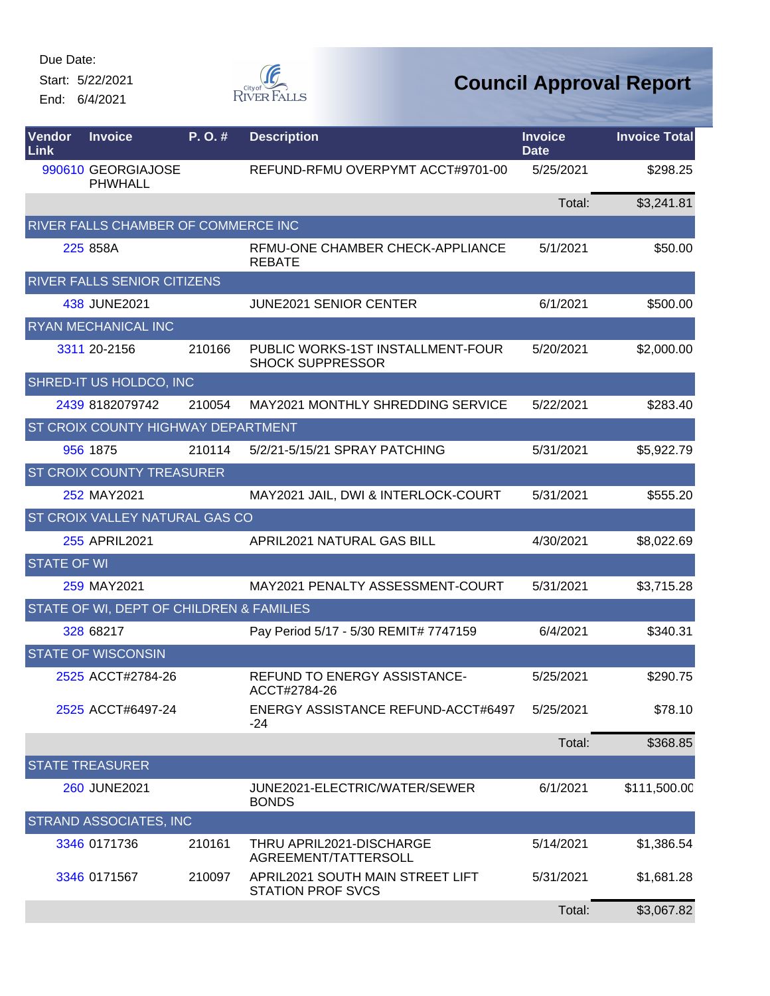Start: 5/22/2021 End: 6/4/2021



| Vendor<br>Link     | <b>Invoice</b>                           | P. O.# | <b>Description</b>                                           | <b>Invoice</b><br><b>Date</b> | <b>Invoice Total</b> |
|--------------------|------------------------------------------|--------|--------------------------------------------------------------|-------------------------------|----------------------|
|                    | 990610 GEORGIAJOSE<br><b>PHWHALL</b>     |        | REFUND-RFMU OVERPYMT ACCT#9701-00                            | 5/25/2021                     | \$298.25             |
|                    |                                          |        |                                                              | Total:                        | \$3,241.81           |
|                    | RIVER FALLS CHAMBER OF COMMERCE INC      |        |                                                              |                               |                      |
|                    | 225 858A                                 |        | RFMU-ONE CHAMBER CHECK-APPLIANCE<br><b>REBATE</b>            | 5/1/2021                      | \$50.00              |
|                    | RIVER FALLS SENIOR CITIZENS              |        |                                                              |                               |                      |
|                    | 438 JUNE2021                             |        | <b>JUNE2021 SENIOR CENTER</b>                                | 6/1/2021                      | \$500.00             |
|                    | RYAN MECHANICAL INC                      |        |                                                              |                               |                      |
|                    | 3311 20-2156                             | 210166 | PUBLIC WORKS-1ST INSTALLMENT-FOUR<br><b>SHOCK SUPPRESSOR</b> | 5/20/2021                     | \$2,000.00           |
|                    | SHRED-IT US HOLDCO, INC                  |        |                                                              |                               |                      |
|                    | 2439 8182079742                          | 210054 | MAY2021 MONTHLY SHREDDING SERVICE                            | 5/22/2021                     | \$283.40             |
|                    | ST CROIX COUNTY HIGHWAY DEPARTMENT       |        |                                                              |                               |                      |
|                    | 956 1875                                 | 210114 | 5/2/21-5/15/21 SPRAY PATCHING                                | 5/31/2021                     | \$5,922.79           |
|                    | <b>ST CROIX COUNTY TREASURER</b>         |        |                                                              |                               |                      |
|                    | 252 MAY2021                              |        | MAY2021 JAIL, DWI & INTERLOCK-COURT                          | 5/31/2021                     | \$555.20             |
|                    | ST CROIX VALLEY NATURAL GAS CO           |        |                                                              |                               |                      |
|                    | 255 APRIL2021                            |        | APRIL2021 NATURAL GAS BILL                                   | 4/30/2021                     | \$8,022.69           |
| <b>STATE OF WI</b> |                                          |        |                                                              |                               |                      |
|                    | 259 MAY2021                              |        | MAY2021 PENALTY ASSESSMENT-COURT                             | 5/31/2021                     | \$3,715.28           |
|                    | STATE OF WI, DEPT OF CHILDREN & FAMILIES |        |                                                              |                               |                      |
|                    | 328 68217                                |        | Pay Period 5/17 - 5/30 REMIT# 7747159                        | 6/4/2021                      | \$340.31             |
|                    | <b>STATE OF WISCONSIN</b>                |        |                                                              |                               |                      |
|                    | 2525 ACCT#2784-26                        |        | <b>REFUND TO ENERGY ASSISTANCE-</b><br>ACCT#2784-26          | 5/25/2021                     | \$290.75             |
|                    | 2525 ACCT#6497-24                        |        | ENERGY ASSISTANCE REFUND-ACCT#6497<br>-24                    | 5/25/2021                     | \$78.10              |
|                    |                                          |        |                                                              | Total:                        | \$368.85             |
|                    | <b>STATE TREASURER</b>                   |        |                                                              |                               |                      |
|                    | 260 JUNE2021                             |        | JUNE2021-ELECTRIC/WATER/SEWER<br><b>BONDS</b>                | 6/1/2021                      | \$111,500.00         |
|                    | STRAND ASSOCIATES, INC                   |        |                                                              |                               |                      |
|                    | 3346 0171736                             | 210161 | THRU APRIL2021-DISCHARGE<br>AGREEMENT/TATTERSOLL             | 5/14/2021                     | \$1,386.54           |
|                    | 3346 0171567                             | 210097 | APRIL2021 SOUTH MAIN STREET LIFT<br><b>STATION PROF SVCS</b> | 5/31/2021                     | \$1,681.28           |
|                    |                                          |        |                                                              | Total:                        | \$3,067.82           |